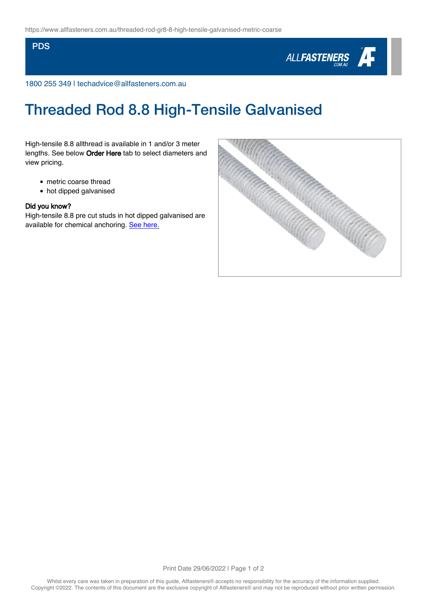## **PDS**



1800 255 349 | techadvice@allfasteners.com.au

## Threaded Rod 8.8 High-Tensile Galvanised

High-tensile 8.8 allthread is available in 1 and/or 3 meter lengths. See below Order Here tab to select diameters and view pricing.

- metric coarse thread
- hot dipped galvanised

## Did you know?

High-tensile 8.8 pre cut studs in hot dipped galvanised are available for chemical anchoring. [See here.](http://www.allfasteners.com.au/threaded-stud-gr8-8-high-tensile-galvanised-metric-coarse)